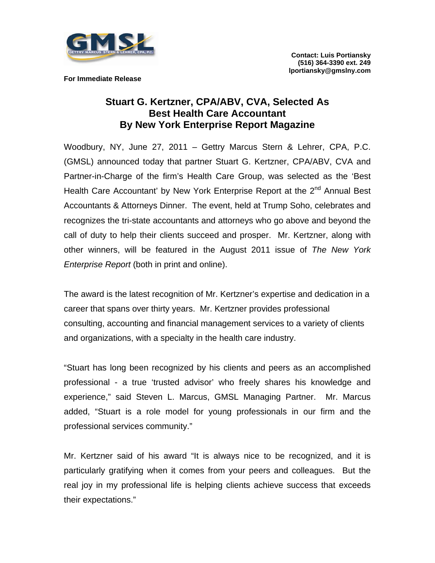

**For Immediate Release**

## **Stuart G. Kertzner, CPA/ABV, CVA, Selected As Best Health Care Accountant By New York Enterprise Report Magazine**

Woodbury, NY, June 27, 2011 – Gettry Marcus Stern & Lehrer, CPA, P.C. (GMSL) announced today that partner Stuart G. Kertzner, CPA/ABV, CVA and Partner-in-Charge of the firm's Health Care Group, was selected as the 'Best Health Care Accountant' by New York Enterprise Report at the 2<sup>nd</sup> Annual Best Accountants & Attorneys Dinner. The event, held at Trump Soho, celebrates and recognizes the tri-state accountants and attorneys who go above and beyond the call of duty to help their clients succeed and prosper. Mr. Kertzner, along with other winners, will be featured in the August 2011 issue of *The New York Enterprise Report* (both in print and online).

The award is the latest recognition of Mr. Kertzner's expertise and dedication in a career that spans over thirty years. Mr. Kertzner provides professional consulting, accounting and financial management services to a variety of clients and organizations, with a specialty in the health care industry.

"Stuart has long been recognized by his clients and peers as an accomplished professional - a true 'trusted advisor' who freely shares his knowledge and experience," said Steven L. Marcus, GMSL Managing Partner. Mr. Marcus added, "Stuart is a role model for young professionals in our firm and the professional services community."

Mr. Kertzner said of his award "It is always nice to be recognized, and it is particularly gratifying when it comes from your peers and colleagues. But the real joy in my professional life is helping clients achieve success that exceeds their expectations."